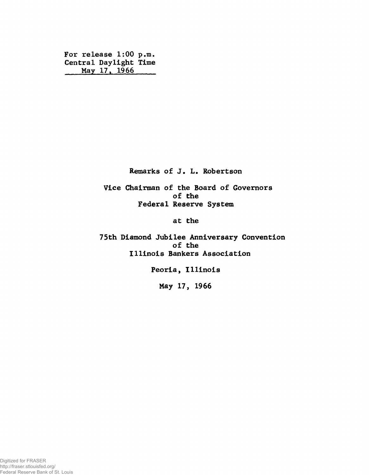**For release 1:00 p.m. Central Daylight Time May 17. 1966**

**Remarks of J. L. Robertson**

**Vice Chairman of the Board of Governors of the Federal Reserve System**

**at the**

**75th Diamond Jubilee Anniversary Convention of the Illinois Bankers Association**

**Peoria, Illinois**

**May 17, 1966**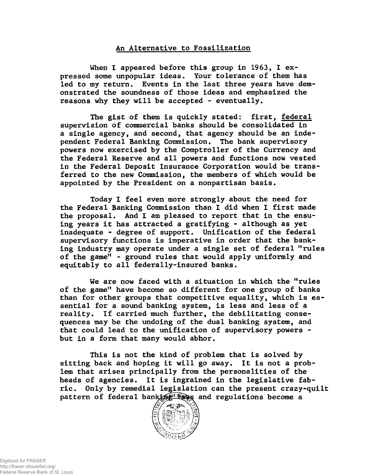## **An Alternative to Fossilization**

**When I appeared before this group in 1963, I expressed some unpopular ideas. Your tolerance of them has led to my return. Events in the last three years have demonstrated the soundness of those ideas and emphasized the reasons why they will be accepted - eventually.**

**The gist of them is quickly stated: first, federal supervision of commercial banks should be consolidated in a single agency, and second, that agency should be an independent Federal Banking Commission. The bank supervisory powers now exercised by the Comptroller of the Currency and the Federal Reserve and all powers and functions now vested in the Federal Deposit Insurance Corporation would be transferred to the new Commission, the members of which would be appointed by the President on a nonpartisan basis.**

**Today I feel even more strongly about the need for the Federal Banking Commission than I did when 1 first made the proposal. And 1 am pleased to report that in the ensuing years it has attracted a gratifying - although as yet inadequate - degree of support. Unification of the federal supervisory functions is imperative in order that the banking industry may operate under a single set of federal "rules of the game" - ground rules that would apply uniformly and equitably to all federally-insured banks.**

**We are now faced with a situation in which the "rules of the game" have become so different for one group of banks than for other groups that competitive equality, which is essential for a sound banking system, is less and less of a reality. If carried much further, the debilitating consequences may be the undoing of the dual banking system, and that could lead to the unification of supervisory powers but in a form that many would abhor.**

**This is not the kind of problem that is solved by sitting back and hoping it will go away. It is not a problem that arises principally from the personalities of the heads of agencies. It is ingrained in the legislative fabric. Only by remedial legislation can the present crazy-quilt** pattern of federal banking and regulations become a

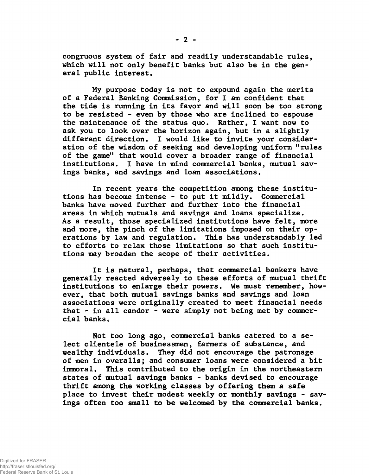**congruous system of fair and readily understandable rules, which will not only benefit banks but also be in the general public interest.**

**My purpose today is not to expound again the merits of a Federal Banking Commission, for I am confident that the tide is running in its favor and will soon be too strong to be resisted - even by those who are inclined to espouse the maintenance of the status quo. Rather, I want now to ask you to look over the horizon again, but in a slightly different direction. I would like to invite your consideration of the wisdom of seeking and developing uniform "rules of the game" that would cover a broader range of financial institutions. I have in mind commercial banks, mutual savings banks, and savings and loan associations.**

**In recent years the competition among these institutions has become intense - to put it mildly. Commercial banks have moved further and further into the financial areas in which mutuals and savings and loans specialize. As a result, those specialized institutions have felt, more and more, the pinch of the limitations imposed on their operations by law and regulation. This has understandably led to efforts to relax those limitations so that such institutions may broaden the scope of their activities.**

**It is natural, perhaps, that commercial bankers have generally reacted adversely to these efforts of mutual thrift institutions to enlarge their powers. We must remember, however, that both mutual savings banks and savings and loan associations were originally created to meet financial needs that - in all candor - were simply not being met by commercial banks.**

**Not too long ago, commercial banks catered to a select clientele of businessmen, farmers of substance, and wealthy individuals. They did not encourage the patronage of men in overalls; and consumer loans were considered a bit immoral. This contributed to the origin in the northeastern states of mutual savings banks - banks devised to encourage thrift among the working classes by offering them a safe place to invest their modest weekly or monthly savings - savings often too small to be welcomed by the commercial banks.**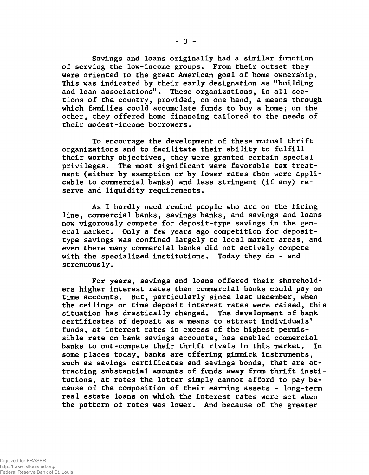**Savings and loans originally had a similar function of serving the low-income groups. From their outset they were oriented to the great American goal of home ownership. This was indicated by their early designation as "building and loan associations". These organizations, in all sections of the country, provided, on one hand, a means through which families could accumulate funds to buy a home; on the other, they offered home financing tailored to the needs of their modest-income borrowers.**

**To encourage the development of these mutual thrift organizations and to facilitate their ability to fulfill their worthy objectives, they were granted certain special privileges. The most significant were favorable tax treatment (either by exemption or by lower rates than were applicable to commercial banks) and less stringent (if any) reserve and liquidity requirements.**

**As I hardly need remind people who are on the firing line, commercial banks, savings banks, and savings and loans now vigorously compete for deposit-type savings in the general market. Only a few years ago competition for deposittype savings was confined largely to local market areas, and even there many commercial banks did not actively compete with the specialized institutions. Today they do - and strenuously.**

**For years, savings and loans offered their shareholders higher interest rates than commercial banks could pay on time accounts. But, particularly since last December, when the ceilings on time deposit interest rates were raised, this situation has drastically changed. The development of bank certificates of deposit as a means to attract individuals' funds, at interest rates in excess of the highest permissible rate on bank savings accounts, has enabled commercial banks to out-compete their thrift rivals in this market. In some places today, banks are offering gimmick instruments, such as savings certificates and savings bonds, that are attracting substantial amounts of funds away from thrift institutions, at rates the latter simply cannot afford to pay because of the composition of their earning assets - long-term real estate loans on which the interest rates were set when the pattern of rates was lower. And because of the greater**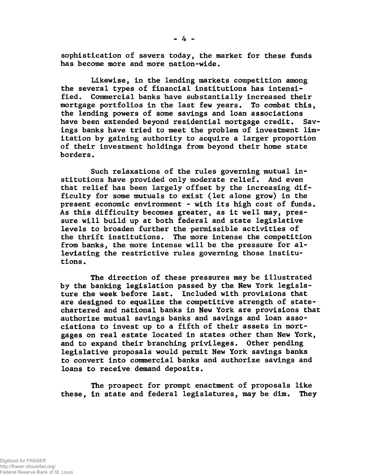**sophistication of savers today, the market for these funds has become more and more nation-wide.**

**Likewise, in the lending markets competition among the several types of financial institutions has intensified. Commercial banks have substantially increased their mortgage portfolios in the last few years. To combat this, the lending powers of some savings and loan associations have been extended beyond residential mortgage credit. Savings banks have tried to meet the problem of investment limitation by gaining authority to acquire a larger proportion of their investment holdings from beyond their home state borders.**

**Such relaxations of the rules governing mutual institutions have provided only moderate relief. And even that relief has been largely offset by the increasing difficulty for some mutuals to exist (let alone grow) in the present economic environment - with its high cost of funds. As this difficulty becomes greater, as it well may, pressure will build up at both federal and state legislative levels to broaden further the permissible activities of the thrift institutions. The more intense the competition from banks, the more intense will be the pressure for alleviating the restrictive rules governing those institutions .**

**The direction of these pressures may be illustrated by the banking legislation passed by the New York legislature the week before last. Included with provisions that are designed to equalize the competitive strength of statechartered and national banks in New York are provisions that authorize mutual savings banks and savings and loan associations to invest up to a fifth of their assets in mortgages on real estate located in states other than New York, and to expand their branching privileges. Other pending legislative proposals would permit New York savings banks to convert into commercial banks and authorize savings and loans to receive demand deposits.**

**The prospect for prompt enactment of proposals like these, in state and federal legislatures, may be dim. They**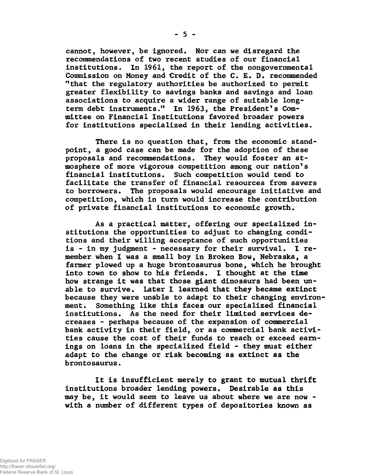**cannot, however, be ignored. Nor can we disregard the recommendations of two recent studies of our financial institutions. In 1961, the report of the nongovernmental Commission on Money and Credit of the C. £. D. recommended "that the regulatory authorities be authorized to permit greater flexibility to savings banks and savings and loan associations to acquire a wider range of suitable longterm debt instruments." In 1963, the President's Committee on Financial Institutions favored broader powers for institutions specialized in their lending activities.**

**There is no question that, from the economic standpoint, a good case can be made for the adoption of these proposals and recommendations. They would foster an atmosphere of more vigorous competition among our nation's financial institutions. Such competition would tend to facilitate the transfer of financial resources from savers to borrowers. The proposals would encourage initiative and competition, which in turn would increase the contribution of private financial institutions to economic growth.**

**As a practical matter, offering our specialized institutions the opportunities to adjust to changing conditions and their willing acceptance of such opportunities is - in my judgment - necessary for their survival. I remember when I was a small boy in Broken Bow, Nebraska, a farmer plowed up a huge brontosaurus bone, which he brought into town to show to his friends. I thought at the time how strange it was that those giant dinosaurs had been unable to survive. Later I learned that they became extinct because they were unable to adapt to their changing environment. Something like this faces our specialized financial institutions. As the need for their limited services decreases - perhaps because of the expansion of commercial bank activity in their field, or as commercial bank activities cause the cost of their funds to reach or exceed earnings on loans in the specialized field - they must either adapt to the change or risk becoming as extinct as the brontosaurus.**

**It is insufficient merely to grant to mutual thrift institutions broader lending powers. Desirable as this may be, it would seem to leave us about where we are now with a number of different types of depositories known as**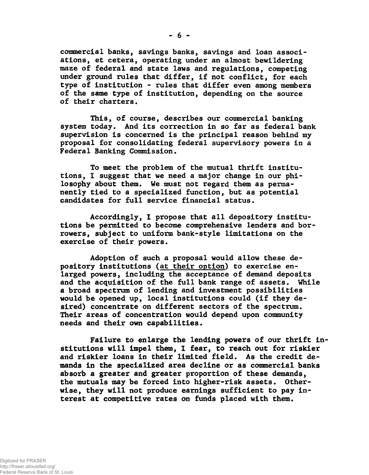**commercial banks, savings banks, savings and loan associations, et cetera, operating under an almost bewildering maze of federal and state laws and regulations, competing under ground rules that differ, if not conflict, for each type of institution - rules that differ even among members of the same type of institution, depending on the source of their charters.**

**This, of course, describes our commercial banking system today. And its correction in so far as federal bank supervision is concerned is the principal reason behind my proposal for consolidating federal supervisory powers in a Federal Banking Commission.**

**To meet the problem of the mutual thrift institutions, I suggest that we need a major change in our philosophy about them. We must not regard them as permanently tied to a specialized function, but as potential candidates for full service financial status.**

**Accordingly, I propose that all depository institutions be permitted to become comprehensive lenders and borrowers, subject to uniform bank-style limitations on the exercise of their powers.**

**Adoption of such a proposal would allow these depository institutions (at their option) to exercise enlarged powers, including the acceptance of demand deposits and the acquisition of the full bank range of assets. While a broad spectrum of lending and investment possibilities would be opened up, local institutions could (if they desired) concentrate on different sectors of the spectrum. Their areas of concentration would depend upon community needs and their own capabilities.**

**Failure to enlarge the lending powers of our thrift in stitutions will impel them, I fear, to reach out for riskier and riskier loans in their limited field. As the credit demands in the specialized area decline or as commercial banks absorb a greater and greater proportion of these demands, the mutuals may be forced into higher-risk assets. Otherwise, they will not produce earnings sufficient to pay interest at competitive rates on funds placed with them.**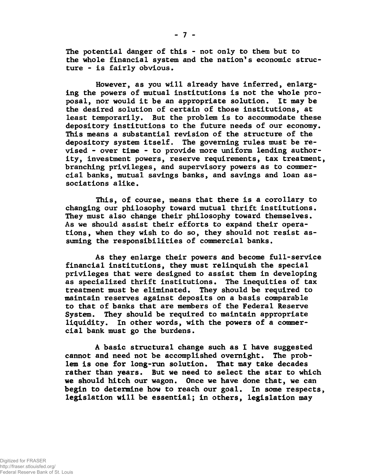**The potential danger of this - not only to them but to the whole financial system and the nation's economic structure - is fairly obvious.**

**However, as you will already have inferred, enlarging the powers of mutual institutions is not the whole proposal, nor would it be an appropriate solution. It may be the desired solution of certain of those institutions, at least temporarily. But the problem is to accommodate these depository institutions to the future needs of our economy. This means a substantial revision of the structure of the depository system itself. The governing rules must be revised - over time - to provide more uniform lending authority, investment powers, reserve requirements, tax treatment, branching privileges, and supervisory powers as to commercial banks, mutual savings banks, and savings and loan associations alike.**

**This, of course, means that there is a corollary to changing our philosophy toward mutual thrift institutions. They must also change their philosophy toward themselves. As we should assist their efforts to expand their operations, when they wish to do so, they should not resist assuming the responsibilities of commercial banks.**

**As they enlarge their powers and become full-service financial institutions, they must relinquish the special privileges that were designed to assist them in developing as specialized thrift institutions. The inequities of tax treatment must be eliminated. They should be required to maintain reserves against deposits on a basis comparable to that of banks that are members of the Federal Reserve System. They should be required to maintain appropriate liquidity. In other words, with the powers of a commercial bank must go the burdens.**

**A basic structural change such as 1 have suggested cannot and need not be accomplished overnight. The problem is one for long-run solution. That may take decades rather than years. But we need to select the star to which we should hitch our wagon. Once we have done that, we can begin to determine how to reach our goal. In some respects, legislation will be essential; in others, legislation may**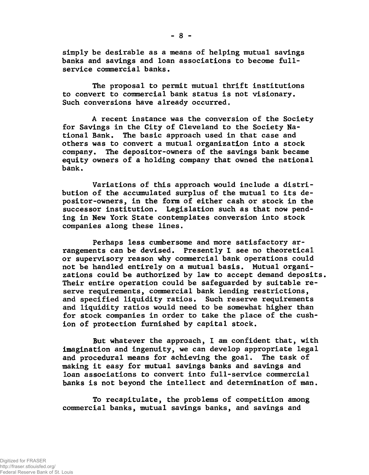**simply be desirable as a means of helping mutual savings banks and savings and loan associations to become fullservice commercial banks.**

**The proposal to permit mutual thrift institutions to convert to commercial bank status is not visionary. Such conversions have already occurred.**

**A recent instance was the conversion of the Society for Savings in the City of Cleveland to the Society National Bank. The basic approach used in that case and others was to convert a mutual organization into a stock company. The depositor-owners of the savings bank became equity owners of a holding company that owned the national bank.**

**Variations of this approach would include a distribution of the accumulated surplus of the mutual to its depositor-owners, in the form of either cash or stock in the successor institution. Legislation such as that now pending in New York State contemplates conversion into stock companies along these lines.**

**Perhaps less cumbersome and more satisfactory arrangements can be devised. Presently I see no theoretical or supervisory reason why commercial bank operations could not be handled entirely on a mutual basis. Mutual organizations could be authorized by law to accept demand deposits. Their entire operation could be safeguarded by suitable reserve requirements, commercial bank lending restrictions, and specified liquidity ratios. Such reserve requirements and liquidity ratios would need to be somewhat higher than for stock companies in order to take the place of the cushion of protection furnished by capital stock.**

**But whatever the approach, 1 am confident that, with imagination and ingenuity, we can develop appropriate legal and procedural means for achieving the goal. The task of making it easy for mutual savings banks and savings and loan associations to convert into full-service commercial banks is not beyond the intellect and determination of man.**

**To recapitulate, the problems of competition among commercial banks, mutual savings banks, and savings and**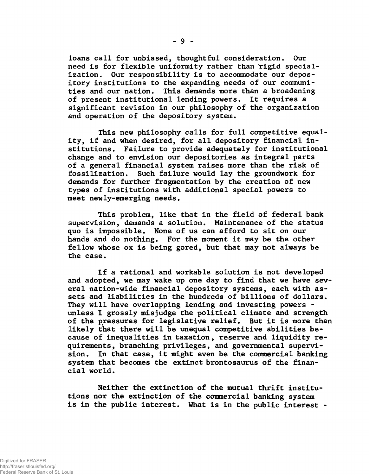**loans call for unbiased, thoughtful consideration. Our need is for flexible uniformity rather than rigid specialization. Our responsibility is to accommodate our depository institutions to the expanding needs of our communities and our nation. This demands more than a broadening of present institutional lending powers. It requires a significant revision in our philosophy of the organization and operation of the depository system.**

**This new philosophy calls for full competitive equality, if and when desired, for all depository financial institutions. Failure to provide adequately for institutional change and to envision our depositories as integral parts of a general financial system raises more than the risk of fossilization. Such failure would lay the groundwork for demands for further fragmentation by the creation of new types of institutions with additional special powers to meet newly-emerging needs.**

**This problem, like that in the field of federal bank supervision, demands a solution. Maintenance of the status quo is impossible. None of us can afford to sit on our hands and do nothing. For the moment it may be the other fellow whose ox is being gored, but that may not always be the case.**

**If a rational and workable solution is not developed and adopted, we may wake up one day to find that we have several nation-wide financial depository systems, each with assets and liabilities in the hundreds of billions of dollars. They will have overlapping lending and investing powers unless I grossly misjudge the political climate and strength of the pressures for legislative relief. But it is more than likely that there will be unequal competitive abilities because of inequalities in taxation, reserve and liquidity requirements, branching privileges, and governmental supervision. In that case, it might even be the commercial banking system that becomes the extinct brontosaurus of the financial world.**

**Neither the extinction of the mutual thrift institutions nor the extinction of the commercial banking system is in the public interest. What is in the public interest -**